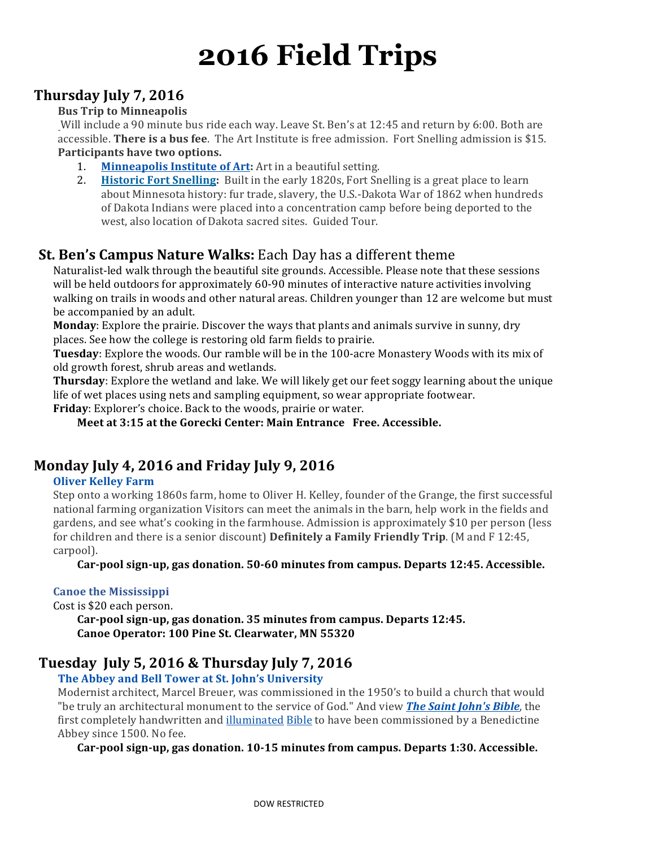# **2016 Field Trips**

## Thursday July 7, 2016

## **Bus Trip to Minneapolis**

Will include a 90 minute bus ride each way. Leave St. Ben's at 12:45 and return by 6:00. Both are accessible. **There is a bus fee**. The Art Institute is free admission. Fort Snelling admission is \$15. Participants have two options.

- 1. **Minneapolis Institute of Art:** Art in a beautiful setting.
- 2. **Historic Fort Snelling:** Built in the early 1820s, Fort Snelling is a great place to learn about Minnesota history: fur trade, slavery, the U.S.-Dakota War of 1862 when hundreds of Dakota Indians were placed into a concentration camp before being deported to the west, also location of Dakota sacred sites. Guided Tour.

## **St. Ben's Campus Nature Walks:** Each Day has a different theme

Naturalist-led walk through the beautiful site grounds. Accessible. Please note that these sessions will be held outdoors for approximately 60-90 minutes of interactive nature activities involving walking on trails in woods and other natural areas. Children younger than 12 are welcome but must be accompanied by an adult.

**Monday**: Explore the prairie. Discover the ways that plants and animals survive in sunny, dry places. See how the college is restoring old farm fields to prairie.

**Tuesday**: Explore the woods. Our ramble will be in the 100-acre Monastery Woods with its mix of old growth forest, shrub areas and wetlands.

**Thursday**: Explore the wetland and lake. We will likely get our feet soggy learning about the unique life of wet places using nets and sampling equipment, so wear appropriate footwear.

**Friday**: Explorer's choice. Back to the woods, prairie or water.

**Meet at 3:15 at the Gorecki Center: Main Entrance Free. Accessible.** 

## **Monday July 4, 2016 and Friday July 9, 2016**

### **Oliver Kelley Farm**

Step onto a working 1860s farm, home to Oliver H. Kelley, founder of the Grange, the first successful national farming organization Visitors can meet the animals in the barn, help work in the fields and gardens, and see what's cooking in the farmhouse. Admission is approximately \$10 per person (less for children and there is a senior discount) **Definitely a Family Friendly Trip**. (M and F 12:45, carpool).

Car-pool sign-up, gas donation. 50-60 minutes from campus. Departs 12:45. Accessible.

### **Canoe the Mississippi**

Cost is \$20 each person.

Car-pool sign-up, gas donation. 35 minutes from campus. Departs 12:45. Canoe Operator: 100 Pine St. Clearwater, MN 55320

## **Tuesday July 5, 2016 & Thursday July 7, 2016**

## The Abbey and Bell Tower at St. John's University

Modernist architect, Marcel Breuer, was commissioned in the 1950's to build a church that would "be truly an architectural monument to the service of God." And view **The Saint John's Bible**, the first completely handwritten and illuminated Bible to have been commissioned by a Benedictine Abbey since 1500. No fee.

Car-pool sign-up, gas donation. 10-15 minutes from campus. Departs 1:30. Accessible.